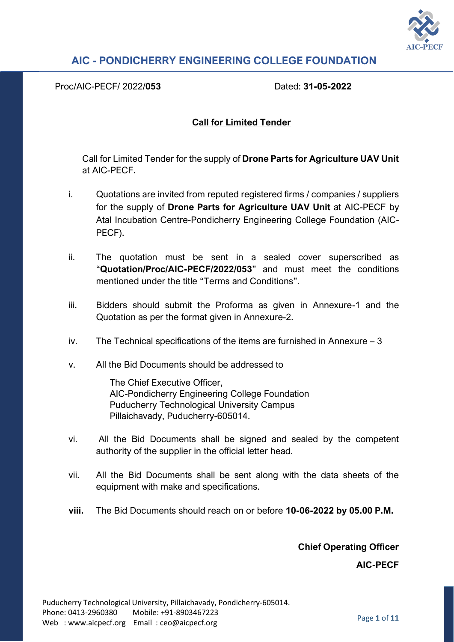

Proc/AIC-PECF/ 2022/**053** Dated: **31-05-2022**

#### **Call for Limited Tender**

Call for Limited Tender for the supply of **Drone Parts for Agriculture UAV Unit**  at AIC-PECF**.**

- i. Quotations are invited from reputed registered firms / companies / suppliers for the supply of **Drone Parts for Agriculture UAV Unit** at AIC-PECF by Atal Incubation Centre-Pondicherry Engineering College Foundation (AIC-PECF).
- ii. The quotation must be sent in a sealed cover superscribed as "**Quotation/Proc/AIC-PECF/2022/053**" and must meet the conditions mentioned under the title "Terms and Conditions".
- iii. Bidders should submit the Proforma as given in Annexure-1 and the Quotation as per the format given in Annexure-2.
- iv. The Technical specifications of the items are furnished in Annexure 3
- v. All the Bid Documents should be addressed to

The Chief Executive Officer, AIC-Pondicherry Engineering College Foundation Puducherry Technological University Campus Pillaichavady, Puducherry-605014.

- vi. All the Bid Documents shall be signed and sealed by the competent authority of the supplier in the official letter head.
- vii. All the Bid Documents shall be sent along with the data sheets of the equipment with make and specifications.
- **viii.** The Bid Documents should reach on or before **10-06-2022 by 05.00 P.M.**

**Chief Operating Officer** 

**AIC-PECF**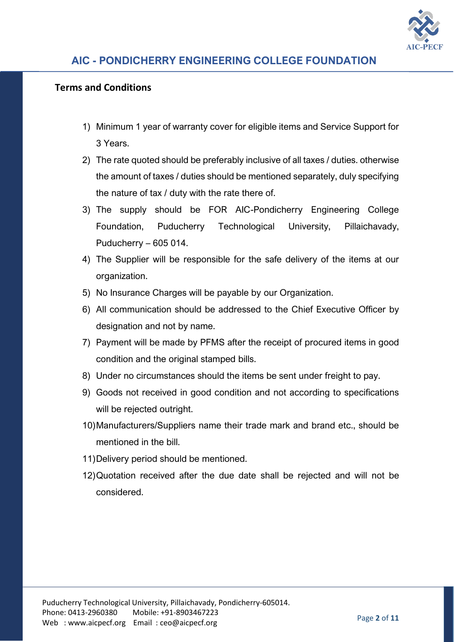

### **Terms and Conditions**

- 1) Minimum 1 year of warranty cover for eligible items and Service Support for 3 Years.
- 2) The rate quoted should be preferably inclusive of all taxes / duties. otherwise the amount of taxes / duties should be mentioned separately, duly specifying the nature of tax / duty with the rate there of.
- 3) The supply should be FOR AIC-Pondicherry Engineering College Foundation, Puducherry Technological University, Pillaichavady, Puducherry – 605 014.
- 4) The Supplier will be responsible for the safe delivery of the items at our organization.
- 5) No Insurance Charges will be payable by our Organization.
- 6) All communication should be addressed to the Chief Executive Officer by designation and not by name.
- 7) Payment will be made by PFMS after the receipt of procured items in good condition and the original stamped bills.
- 8) Under no circumstances should the items be sent under freight to pay.
- 9) Goods not received in good condition and not according to specifications will be rejected outright.
- 10)Manufacturers/Suppliers name their trade mark and brand etc., should be mentioned in the bill.
- 11)Delivery period should be mentioned.
- 12)Quotation received after the due date shall be rejected and will not be considered.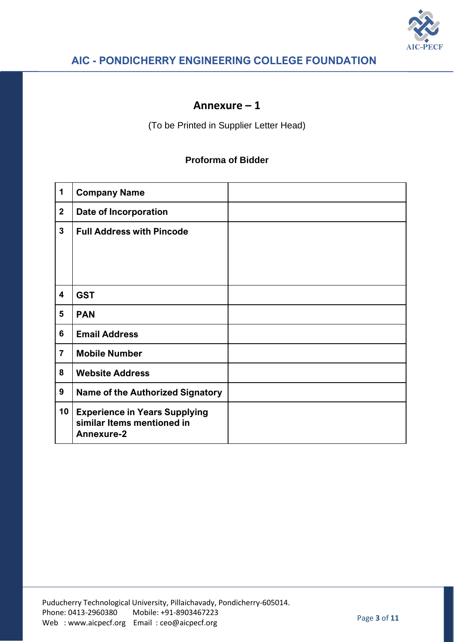

## **Annexure – 1**

(To be Printed in Supplier Letter Head)

#### **Proforma of Bidder**

| 1                       | <b>Company Name</b>                                                                     |  |
|-------------------------|-----------------------------------------------------------------------------------------|--|
| $\mathbf{2}$            | <b>Date of Incorporation</b>                                                            |  |
| $\mathbf{3}$            | <b>Full Address with Pincode</b>                                                        |  |
|                         |                                                                                         |  |
|                         |                                                                                         |  |
| $\overline{\mathbf{4}}$ | <b>GST</b>                                                                              |  |
| 5                       | <b>PAN</b>                                                                              |  |
| 6                       | <b>Email Address</b>                                                                    |  |
| $\overline{7}$          | <b>Mobile Number</b>                                                                    |  |
| 8                       | <b>Website Address</b>                                                                  |  |
| 9                       | <b>Name of the Authorized Signatory</b>                                                 |  |
| 10                      | <b>Experience in Years Supplying</b><br>similar Items mentioned in<br><b>Annexure-2</b> |  |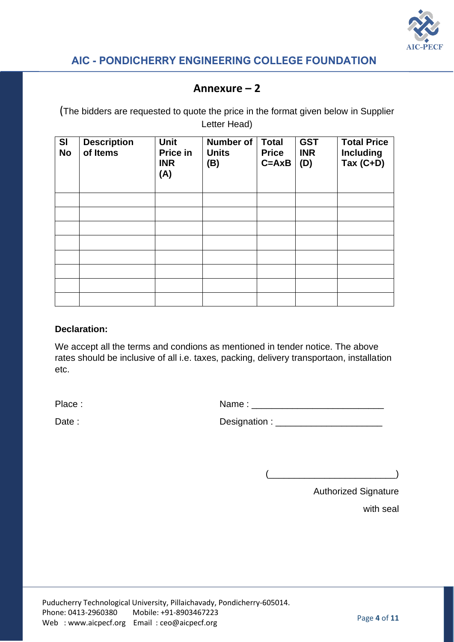

### **Annexure – 2**

(The bidders are requested to quote the price in the format given below in Supplier Letter Head)

| SI<br><b>No</b> | <b>Description</b><br>of Items | <b>Unit</b><br>Price in<br><b>INR</b><br>(A) | <b>Number of</b><br><b>Units</b><br>(B) | <b>Total</b><br><b>Price</b><br>$C = A \times B$ | <b>GST</b><br><b>INR</b><br>(D) | <b>Total Price</b><br><b>Including</b><br>Tax $(C+D)$ |
|-----------------|--------------------------------|----------------------------------------------|-----------------------------------------|--------------------------------------------------|---------------------------------|-------------------------------------------------------|
|                 |                                |                                              |                                         |                                                  |                                 |                                                       |
|                 |                                |                                              |                                         |                                                  |                                 |                                                       |
|                 |                                |                                              |                                         |                                                  |                                 |                                                       |
|                 |                                |                                              |                                         |                                                  |                                 |                                                       |
|                 |                                |                                              |                                         |                                                  |                                 |                                                       |
|                 |                                |                                              |                                         |                                                  |                                 |                                                       |
|                 |                                |                                              |                                         |                                                  |                                 |                                                       |
|                 |                                |                                              |                                         |                                                  |                                 |                                                       |

#### **Declaration:**

We accept all the terms and condions as mentioned in tender notice. The above rates should be inclusive of all i.e. taxes, packing, delivery transportaon, installation etc.

Place : Name : \_\_\_\_\_\_\_\_\_\_\_\_\_\_\_\_\_\_\_\_\_\_\_\_\_\_

| Date: | Designation : |  |
|-------|---------------|--|
|-------|---------------|--|

 $\qquad \qquad$ 

Authorized Signature

with seal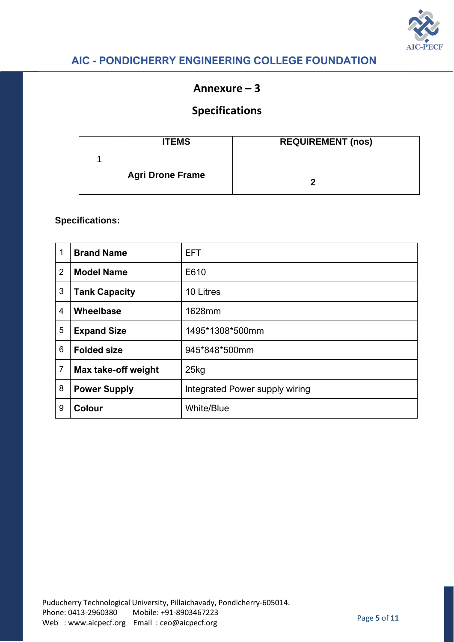

### **Annexure – 3**

# **Specifications**

| <b>ITEMS</b>            | <b>REQUIREMENT (nos)</b> |
|-------------------------|--------------------------|
| <b>Agri Drone Frame</b> |                          |

| 1              | <b>Brand Name</b>    | <b>EFT</b>                     |  |
|----------------|----------------------|--------------------------------|--|
| $\overline{2}$ | <b>Model Name</b>    | E610                           |  |
| 3              | <b>Tank Capacity</b> | 10 Litres                      |  |
| 4              | Wheelbase            | 1628mm                         |  |
| 5              | <b>Expand Size</b>   | 1495*1308*500mm                |  |
| 6              | <b>Folded size</b>   | 945*848*500mm                  |  |
| 7              | Max take-off weight  | 25kg                           |  |
| 8              | <b>Power Supply</b>  | Integrated Power supply wiring |  |
| 9              | <b>Colour</b>        | <b>White/Blue</b>              |  |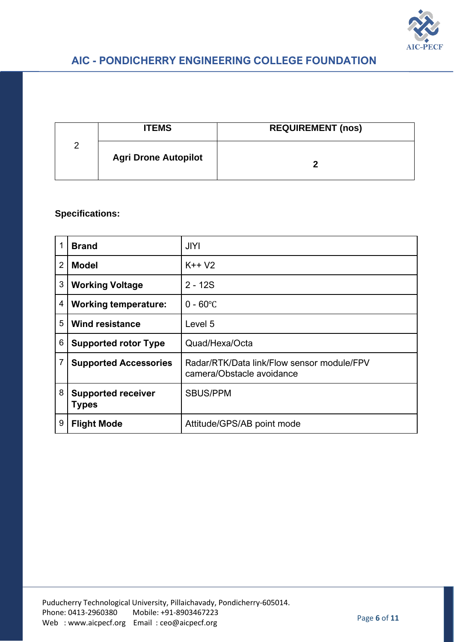

|   | <b>ITEMS</b>                | <b>REQUIREMENT (nos)</b> |
|---|-----------------------------|--------------------------|
| Ω | <b>Agri Drone Autopilot</b> |                          |

|                | <b>Brand</b>                              | <b>JIYI</b>                                                             |
|----------------|-------------------------------------------|-------------------------------------------------------------------------|
| $\overline{2}$ | <b>Model</b>                              | $K++V2$                                                                 |
| 3              | <b>Working Voltage</b>                    | $2 - 12S$                                                               |
| 4              | <b>Working temperature:</b>               | $0 - 60^{\circ}C$                                                       |
| 5              | <b>Wind resistance</b>                    | Level 5                                                                 |
| 6              | <b>Supported rotor Type</b>               | Quad/Hexa/Octa                                                          |
| 7              | <b>Supported Accessories</b>              | Radar/RTK/Data link/Flow sensor module/FPV<br>camera/Obstacle avoidance |
| 8              | <b>Supported receiver</b><br><b>Types</b> | <b>SBUS/PPM</b>                                                         |
| 9              | <b>Flight Mode</b>                        | Attitude/GPS/AB point mode                                              |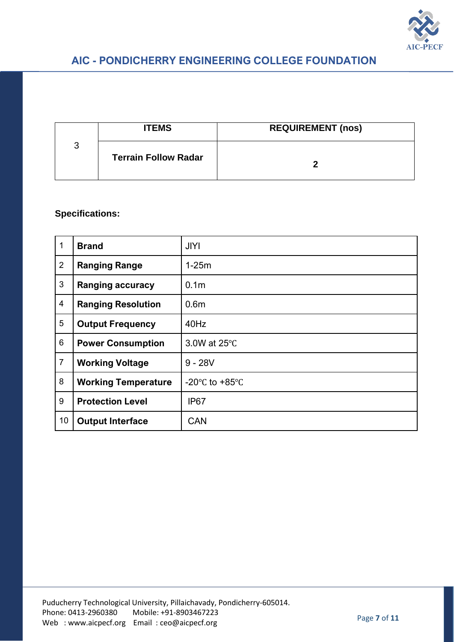

|   | <b>ITEMS</b>                | <b>REQUIREMENT (nos)</b> |
|---|-----------------------------|--------------------------|
| 3 | <b>Terrain Follow Radar</b> |                          |

| 1              | <b>Brand</b>               | <b>JIYI</b>                        |
|----------------|----------------------------|------------------------------------|
| $\overline{2}$ | <b>Ranging Range</b>       | $1-25m$                            |
| 3              | <b>Ranging accuracy</b>    | 0.1 <sub>m</sub>                   |
| $\overline{4}$ | <b>Ranging Resolution</b>  | 0.6 <sub>m</sub>                   |
| 5              | <b>Output Frequency</b>    | 40Hz                               |
| 6              | <b>Power Consumption</b>   | 3.0W at 25°C                       |
| $\overline{7}$ | <b>Working Voltage</b>     | $9 - 28V$                          |
| 8              | <b>Working Temperature</b> | -20 $\degree$ C to +85 $\degree$ C |
| 9              | <b>Protection Level</b>    | IP <sub>67</sub>                   |
| 10             | <b>Output Interface</b>    | <b>CAN</b>                         |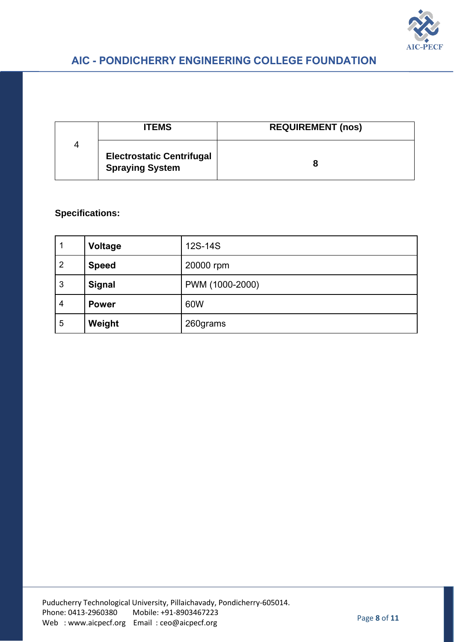

|   | <b>ITEMS</b>                                               | <b>REQUIREMENT (nos)</b> |
|---|------------------------------------------------------------|--------------------------|
| 4 | <b>Electrostatic Centrifugal</b><br><b>Spraying System</b> | 8                        |

|                | <b>Voltage</b> | 12S-14S         |
|----------------|----------------|-----------------|
| $\overline{2}$ | <b>Speed</b>   | 20000 rpm       |
| 3              | <b>Signal</b>  | PWM (1000-2000) |
| 4              | <b>Power</b>   | 60W             |
| 5              | Weight         | 260grams        |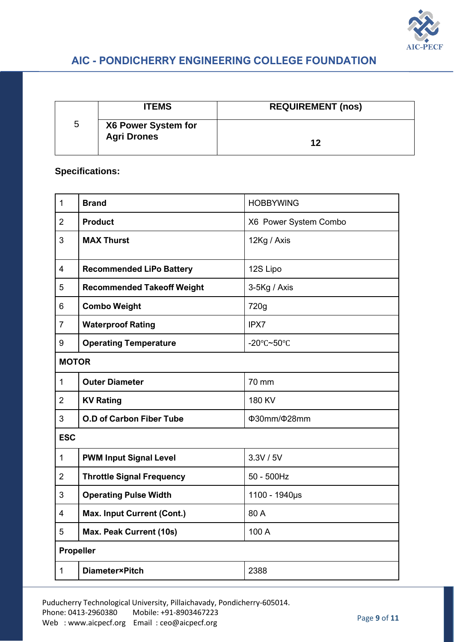

|   | <b>ITEMS</b>                              | <b>REQUIREMENT (nos)</b> |
|---|-------------------------------------------|--------------------------|
| 5 | X6 Power System for<br><b>Agri Drones</b> | 12                       |

### **Specifications:**

| $\mathbf{1}$   | <b>Brand</b>                      | <b>HOBBYWING</b>                       |
|----------------|-----------------------------------|----------------------------------------|
| $\overline{2}$ | <b>Product</b>                    | X6 Power System Combo                  |
| 3              | <b>MAX Thurst</b>                 | 12Kg / Axis                            |
| $\overline{4}$ | <b>Recommended LiPo Battery</b>   | 12S Lipo                               |
| 5              | <b>Recommended Takeoff Weight</b> | 3-5Kg / Axis                           |
| 6              | <b>Combo Weight</b>               | 720g                                   |
| $\overline{7}$ | <b>Waterproof Rating</b>          | IPX7                                   |
| 9              | <b>Operating Temperature</b>      | -20 $\textdegree$ C~50 $\textdegree$ C |
| <b>MOTOR</b>   |                                   |                                        |
| $\mathbf{1}$   | <b>Outer Diameter</b>             | 70 mm                                  |
| $\overline{2}$ | <b>KV Rating</b>                  | 180 KV                                 |
| 3              | <b>O.D of Carbon Fiber Tube</b>   | Φ30mm/Φ28mm                            |
| <b>ESC</b>     |                                   |                                        |
| $\mathbf 1$    | <b>PWM Input Signal Level</b>     | 3.3V / 5V                              |
| $\overline{2}$ | <b>Throttle Signal Frequency</b>  | $50 - 500$ Hz                          |
| 3              | <b>Operating Pulse Width</b>      | 1100 - 1940µs                          |
| $\overline{4}$ | <b>Max. Input Current (Cont.)</b> | 80 A                                   |
| 5              | <b>Max. Peak Current (10s)</b>    | 100 A                                  |
| Propeller      |                                   |                                        |
| $\mathbf{1}$   | <b>Diameter</b> ×Pitch            | 2388                                   |

Puducherry Technological University, Pillaichavady, Pondicherry-605014. Phone: 0413-2960380 Mobile: +91-8903467223 Web : www.aicpecf.org Email : ceo@aicpecf.org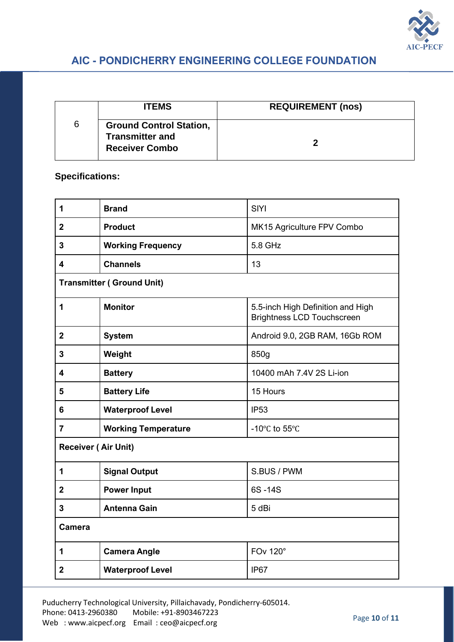

|   | <b>ITEMS</b>                                                                      | <b>REQUIREMENT (nos)</b> |
|---|-----------------------------------------------------------------------------------|--------------------------|
| 6 | <b>Ground Control Station,</b><br><b>Transmitter and</b><br><b>Receiver Combo</b> |                          |

### **Specifications:**

| 1                                | <b>Brand</b>               | <b>SIYI</b>                                                            |
|----------------------------------|----------------------------|------------------------------------------------------------------------|
| $\overline{2}$                   | <b>Product</b>             | MK15 Agriculture FPV Combo                                             |
| 3                                | <b>Working Frequency</b>   | 5.8 GHz                                                                |
| 4                                | <b>Channels</b>            | 13                                                                     |
| <b>Transmitter (Ground Unit)</b> |                            |                                                                        |
| 1                                | <b>Monitor</b>             | 5.5-inch High Definition and High<br><b>Brightness LCD Touchscreen</b> |
| $\mathbf{2}$                     | <b>System</b>              | Android 9.0, 2GB RAM, 16Gb ROM                                         |
| 3                                | Weight                     | 850g                                                                   |
| 4                                | <b>Battery</b>             | 10400 mAh 7.4V 2S Li-ion                                               |
| 5                                | <b>Battery Life</b>        | 15 Hours                                                               |
| 6                                | <b>Waterproof Level</b>    | <b>IP53</b>                                                            |
| $\overline{7}$                   | <b>Working Temperature</b> | -10°C to 55°C                                                          |
| <b>Receiver (Air Unit)</b>       |                            |                                                                        |
| 1                                | <b>Signal Output</b>       | S.BUS / PWM                                                            |
| $\overline{2}$                   | <b>Power Input</b>         | 6S-14S                                                                 |
| 3                                | <b>Antenna Gain</b>        | 5 dBi                                                                  |
| <b>Camera</b>                    |                            |                                                                        |
| 1                                | <b>Camera Angle</b>        | <b>FOv 120°</b>                                                        |
| $\overline{2}$                   | <b>Waterproof Level</b>    | IP <sub>67</sub>                                                       |

Puducherry Technological University, Pillaichavady, Pondicherry-605014. Phone: 0413-2960380 Mobile: +91-8903467223 Web : www.aicpecf.org Email : ceo@aicpecf.org